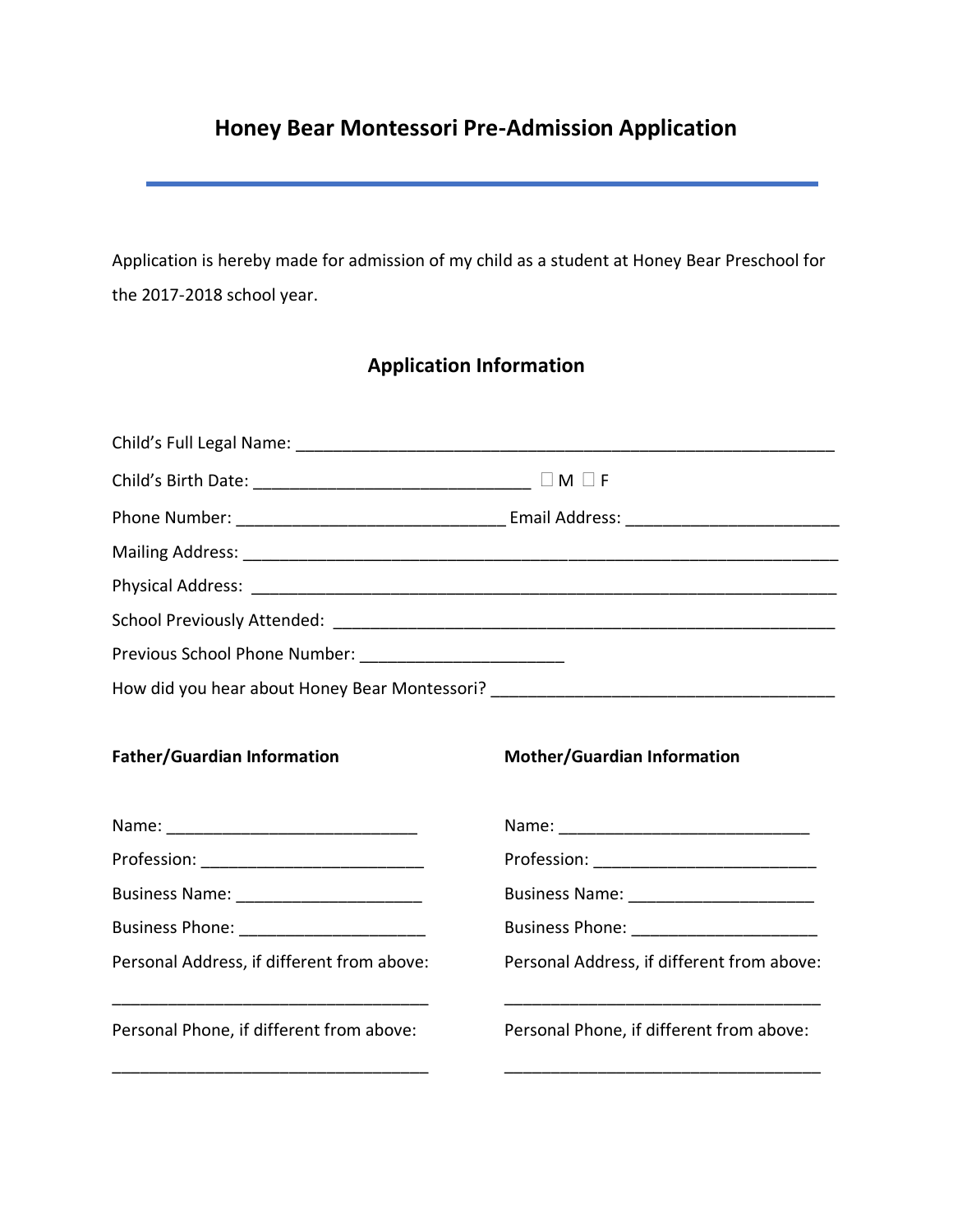# **Honey Bear Montessori Pre-Admission Application**

Application is hereby made for admission of my child as a student at Honey Bear Preschool for the 2017-2018 school year.

## **Application Information**

| Previous School Phone Number: _____________________________ |                                                                                  |  |  |  |  |  |  |
|-------------------------------------------------------------|----------------------------------------------------------------------------------|--|--|--|--|--|--|
|                                                             | How did you hear about Honey Bear Montessori? __________________________________ |  |  |  |  |  |  |
| <b>Father/Guardian Information</b>                          | <b>Mother/Guardian Information</b>                                               |  |  |  |  |  |  |
|                                                             |                                                                                  |  |  |  |  |  |  |
|                                                             | Profession: ______________________________                                       |  |  |  |  |  |  |
|                                                             | Business Name: ___________________________                                       |  |  |  |  |  |  |
| Business Phone: _________________________                   | Business Phone: _________________________                                        |  |  |  |  |  |  |
| Personal Address, if different from above:                  | Personal Address, if different from above:                                       |  |  |  |  |  |  |
| Personal Phone, if different from above:                    | Personal Phone, if different from above:                                         |  |  |  |  |  |  |
|                                                             |                                                                                  |  |  |  |  |  |  |